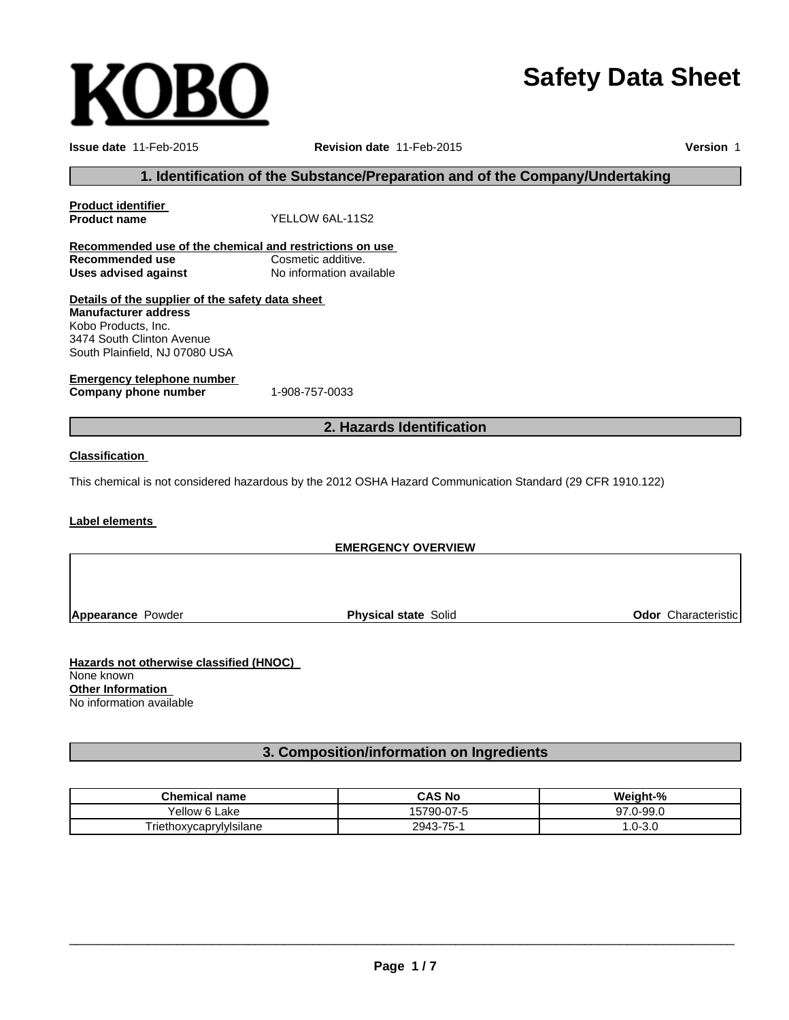# **Safety Data Sheet**

**OBO** 

**Issue date** 11-Feb-2015 **Revision date** 11-Feb-2015 **Version** 1

## **1. Identification of the Substance/Preparation and of the Company/Undertaking**

| <b>Product identifier</b>                               |                                                                                                            |
|---------------------------------------------------------|------------------------------------------------------------------------------------------------------------|
| <b>Product name</b>                                     | YELLOW 6AL-11S2                                                                                            |
| Recommended use of the chemical and restrictions on use |                                                                                                            |
| Recommended use                                         | Cosmetic additive.                                                                                         |
| <b>Uses advised against</b>                             | No information available                                                                                   |
| Details of the supplier of the safety data sheet        |                                                                                                            |
| <b>Manufacturer address</b>                             |                                                                                                            |
| Kobo Products, Inc.                                     |                                                                                                            |
| 3474 South Clinton Avenue                               |                                                                                                            |
| South Plainfield, NJ 07080 USA                          |                                                                                                            |
| <b>Emergency telephone number</b>                       |                                                                                                            |
| Company phone number                                    | 1-908-757-0033                                                                                             |
|                                                         | 2. Hazards Identification                                                                                  |
| <b>Classification</b>                                   |                                                                                                            |
|                                                         | This chemical is not considered hazardous by the 2012 OSHA Hazard Communication Standard (29 CFR 1910.122) |
| Label elements                                          |                                                                                                            |
|                                                         |                                                                                                            |
|                                                         | <b>EMERGENCY OVERVIEW</b>                                                                                  |

**Appearance** Powder

**Physical state** Solid **Odor** Characteristic

**Hazards not otherwise classified (HNOC)** None known **Other Information** No information available

# **3. Composition/information on Ingredients**

| <b>Chemical name</b>    | <b>CAS No</b> | Weight-%     |
|-------------------------|---------------|--------------|
| Vellow 6 L.<br>∟ake     | 15790-07-5    | $7.0 - 99.0$ |
| Triethoxycaprylylsilane | 2943-75-1     | $.0 - 3.0$   |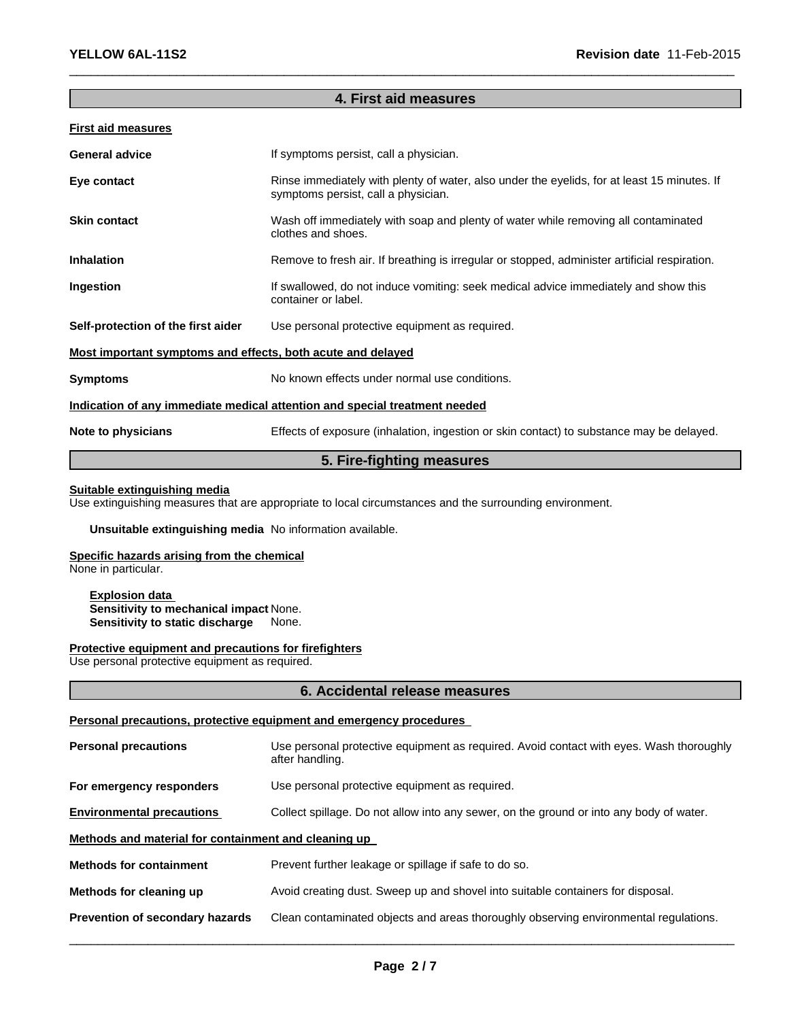# **4. First aid measures**

 $\_$  , and the set of the set of the set of the set of the set of the set of the set of the set of the set of the set of the set of the set of the set of the set of the set of the set of the set of the set of the set of th

## **First aid measures**

| <b>General advice</b>                                       | If symptoms persist, call a physician.                                                                                             |  |  |
|-------------------------------------------------------------|------------------------------------------------------------------------------------------------------------------------------------|--|--|
| Eye contact                                                 | Rinse immediately with plenty of water, also under the eyelids, for at least 15 minutes. If<br>symptoms persist, call a physician. |  |  |
| <b>Skin contact</b>                                         | Wash off immediately with soap and plenty of water while removing all contaminated<br>clothes and shoes.                           |  |  |
| <b>Inhalation</b>                                           | Remove to fresh air. If breathing is irregular or stopped, administer artificial respiration.                                      |  |  |
| Ingestion                                                   | If swallowed, do not induce vomiting: seek medical advice immediately and show this<br>container or label.                         |  |  |
| Self-protection of the first aider                          | Use personal protective equipment as required.                                                                                     |  |  |
| Most important symptoms and effects, both acute and delayed |                                                                                                                                    |  |  |
| <b>Symptoms</b>                                             | No known effects under normal use conditions.                                                                                      |  |  |
|                                                             | Indication of any immediate medical attention and special treatment needed                                                         |  |  |
| Note to physicians                                          | Effects of exposure (inhalation, ingestion or skin contact) to substance may be delayed.                                           |  |  |
|                                                             |                                                                                                                                    |  |  |

# **5. Fire-fighting measures**

## **Suitable extinguishing media**

Use extinguishing measures that are appropriate to local circumstances and the surrounding environment.

## **Unsuitable extinguishing media** No information available.

# **Specific hazards arising from the chemical**

None in particular.

**Explosion data Sensitivity to mechanical impact** None. **Sensitivity to static discharge** None.

## **Protective equipment and precautions for firefighters**

Use personal protective equipment as required.

## **6. Accidental release measures**

## **Personal precautions, protective equipment and emergency procedures**

| <b>Personal precautions</b>                          | Use personal protective equipment as required. Avoid contact with eyes. Wash thoroughly<br>after handling. |  |  |  |
|------------------------------------------------------|------------------------------------------------------------------------------------------------------------|--|--|--|
| For emergency responders                             | Use personal protective equipment as required.                                                             |  |  |  |
| <b>Environmental precautions</b>                     | Collect spillage. Do not allow into any sewer, on the ground or into any body of water.                    |  |  |  |
| Methods and material for containment and cleaning up |                                                                                                            |  |  |  |
| <b>Methods for containment</b>                       | Prevent further leakage or spillage if safe to do so.                                                      |  |  |  |
| Methods for cleaning up                              | Avoid creating dust. Sweep up and shovel into suitable containers for disposal.                            |  |  |  |
| Prevention of secondary hazards                      | Clean contaminated objects and areas thoroughly observing environmental regulations.                       |  |  |  |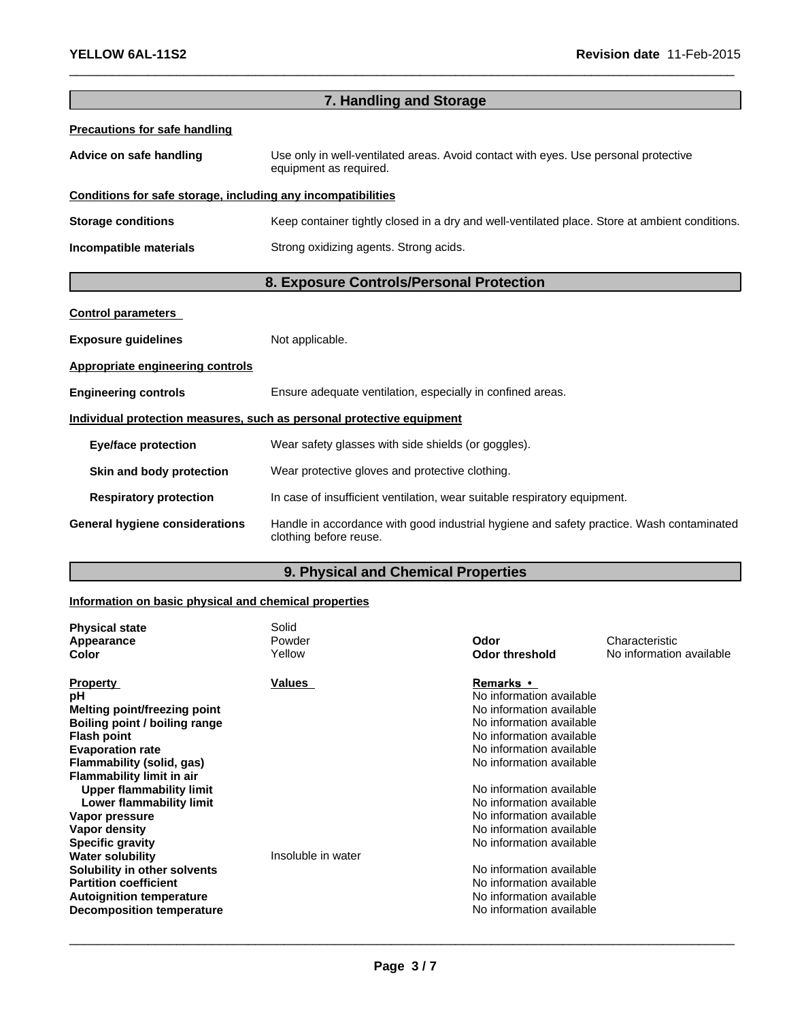| 7. Handling and Storage                                      |                                                                                                                    |  |  |
|--------------------------------------------------------------|--------------------------------------------------------------------------------------------------------------------|--|--|
| <b>Precautions for safe handling</b>                         |                                                                                                                    |  |  |
| Advice on safe handling                                      | Use only in well-ventilated areas. Avoid contact with eyes. Use personal protective<br>equipment as required.      |  |  |
| Conditions for safe storage, including any incompatibilities |                                                                                                                    |  |  |
| <b>Storage conditions</b>                                    | Keep container tightly closed in a dry and well-ventilated place. Store at ambient conditions.                     |  |  |
| Incompatible materials                                       | Strong oxidizing agents. Strong acids.                                                                             |  |  |
| 8. Exposure Controls/Personal Protection                     |                                                                                                                    |  |  |
| <b>Control parameters</b>                                    |                                                                                                                    |  |  |
| <b>Exposure guidelines</b>                                   | Not applicable.                                                                                                    |  |  |
| <b>Appropriate engineering controls</b>                      |                                                                                                                    |  |  |
| <b>Engineering controls</b>                                  | Ensure adequate ventilation, especially in confined areas.                                                         |  |  |
|                                                              | Individual protection measures, such as personal protective equipment                                              |  |  |
| <b>Eye/face protection</b>                                   | Wear safety glasses with side shields (or goggles).                                                                |  |  |
| Skin and body protection                                     | Wear protective gloves and protective clothing.                                                                    |  |  |
| <b>Respiratory protection</b>                                | In case of insufficient ventilation, wear suitable respiratory equipment.                                          |  |  |
| <b>General hygiene considerations</b>                        | Handle in accordance with good industrial hygiene and safety practice. Wash contaminated<br>clothing before reuse. |  |  |

 $\_$  , and the set of the set of the set of the set of the set of the set of the set of the set of the set of the set of the set of the set of the set of the set of the set of the set of the set of the set of the set of th

# **9. Physical and Chemical Properties**

# **Information on basic physical and chemical properties**

| <b>Physical state</b><br>Appearance<br>Color                                                                                                                                                                                                                                                        | Solid<br>Powder<br>Yellow | Odor<br><b>Odor threshold</b>                                                                                                                                                                                                                                                                            | Characteristic<br>No information available |
|-----------------------------------------------------------------------------------------------------------------------------------------------------------------------------------------------------------------------------------------------------------------------------------------------------|---------------------------|----------------------------------------------------------------------------------------------------------------------------------------------------------------------------------------------------------------------------------------------------------------------------------------------------------|--------------------------------------------|
| <b>Property</b><br>рH<br>Melting point/freezing point<br>Boiling point / boiling range<br><b>Flash point</b><br><b>Evaporation rate</b><br>Flammability (solid, gas)<br><b>Flammability limit in air</b><br>Upper flammability limit<br>Lower flammability limit<br>Vapor pressure<br>Vapor density | Values                    | <b>Remarks</b> •<br>No information available<br>No information available<br>No information available<br>No information available<br>No information available<br>No information available<br>No information available<br>No information available<br>No information available<br>No information available |                                            |
| <b>Specific gravity</b><br><b>Water solubility</b><br>Solubility in other solvents<br><b>Partition coefficient</b><br><b>Autoignition temperature</b><br>Decomposition temperature                                                                                                                  | Insoluble in water        | No information available<br>No information available<br>No information available<br>No information available<br>No information available                                                                                                                                                                 |                                            |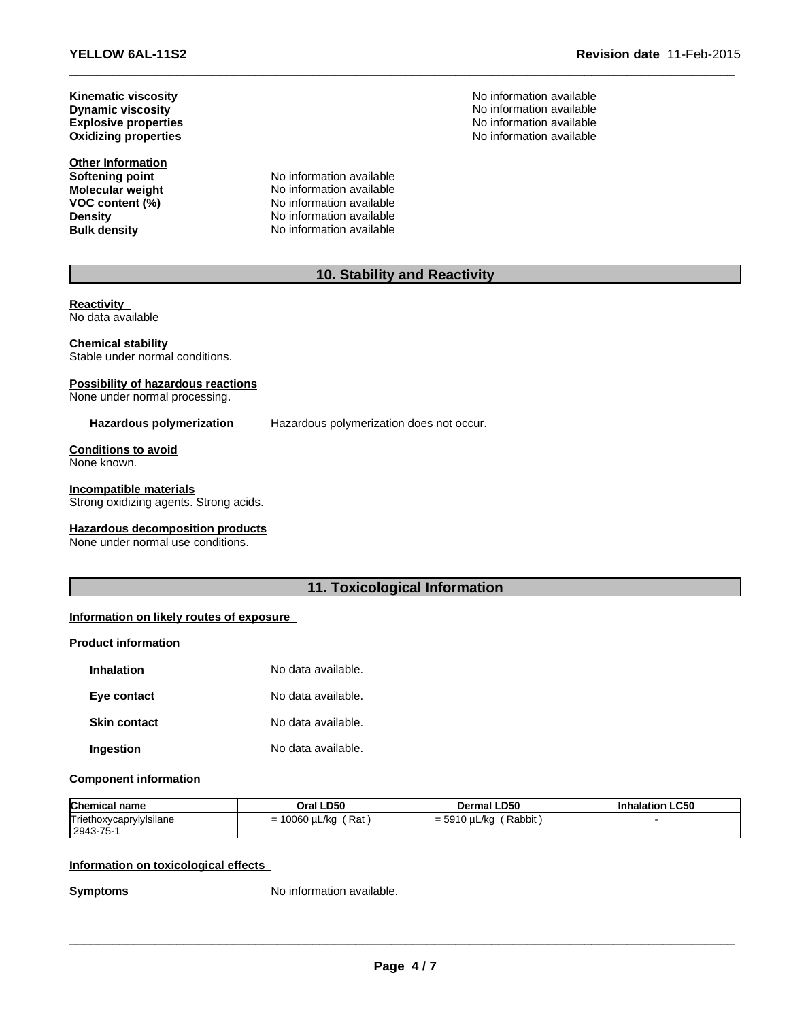**YELLOW 6AL-11S2 Revision date** 11-Feb-2015

**Dynamic viscosity Explosive properties**

**Other Information**

**Softening point**<br> **Molecular weight**<br> **Molecular weight**<br> **Molecular weight**<br> **Molecular weight No information available VOC** content (%) No information available **Density Density No information available**<br> **Bulk density No information available No information available** 

**Kinematic viscosity**<br> **No information available**<br> **Dynamic viscosity**<br> **No information available** No information available **Oxidizing properties** No information available

# **10. Stability and Reactivity**

 $\_$  , and the set of the set of the set of the set of the set of the set of the set of the set of the set of the set of the set of the set of the set of the set of the set of the set of the set of the set of the set of th

**Reactivity** No data available

### **Chemical stability**

Stable under normal conditions.

# **Possibility of hazardous reactions**

None under normal processing.

**Hazardous polymerization** Hazardous polymerization does not occur.

#### **Conditions to avoid** None known.

## **Incompatible materials**

Strong oxidizing agents. Strong acids.

## **Hazardous decomposition products**

None under normal use conditions.

# **11. Toxicological Information**

# **Information on likely routes of exposure**

#### **Product information**

| <b>Inhalation</b>   | No data available. |
|---------------------|--------------------|
| Eye contact         | No data available. |
| <b>Skin contact</b> | No data available. |
| Ingestion           | No data available. |

## **Component information**

| <b>Chemical name</b>    | Oral LD50              | Dermal LD50                | <b>Inhalation LC50</b> |
|-------------------------|------------------------|----------------------------|------------------------|
| Triethoxycaprylylsilane | = 10060 µL/kg<br>(Rat) | ' Rabbit ,<br>= 5910 µL/kg |                        |
| 2943-75-1               |                        |                            |                        |

# **Information on toxicological effects**

**Symptoms** No information available.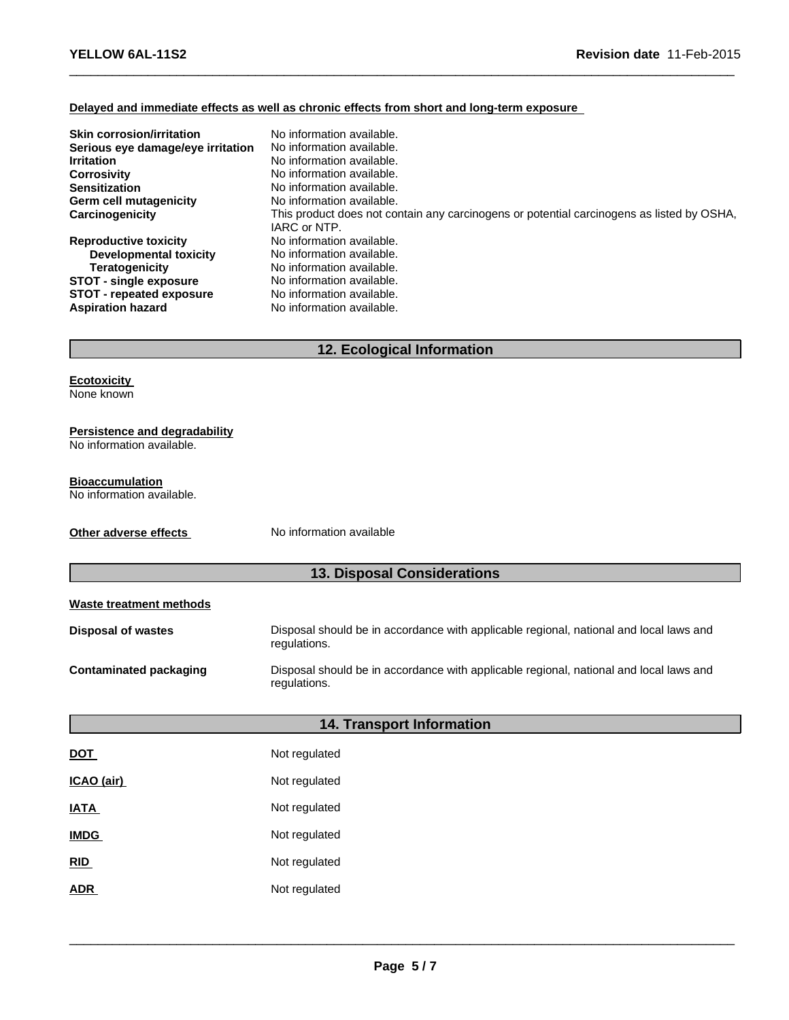# **Delayed and immediate effects as well as chronic effects from short and long-term exposure**

| <b>Skin corrosion/irritation</b>  | No information available.                                                                                 |
|-----------------------------------|-----------------------------------------------------------------------------------------------------------|
| Serious eye damage/eye irritation | No information available.                                                                                 |
| <b>Irritation</b>                 | No information available.                                                                                 |
| <b>Corrosivity</b>                | No information available.                                                                                 |
| <b>Sensitization</b>              | No information available.                                                                                 |
| Germ cell mutagenicity            | No information available.                                                                                 |
| Carcinogenicity                   | This product does not contain any carcinogens or potential carcinogens as listed by OSHA,<br>IARC or NTP. |
| <b>Reproductive toxicity</b>      | No information available.                                                                                 |
| Developmental toxicity            | No information available.                                                                                 |
| <b>Teratogenicity</b>             | No information available.                                                                                 |
| <b>STOT - single exposure</b>     | No information available.                                                                                 |
| <b>STOT - repeated exposure</b>   | No information available.                                                                                 |
| <b>Aspiration hazard</b>          | No information available.                                                                                 |

 $\_$  , and the set of the set of the set of the set of the set of the set of the set of the set of the set of the set of the set of the set of the set of the set of the set of the set of the set of the set of the set of th

# **12. Ecological Information**

**Ecotoxicity** None known

## **Persistence and degradability**

No information available.

## **Bioaccumulation**

No information available.

**Other adverse effects** No information available

# **13. Disposal Considerations**

| Waste treatment methods       |                                                                                                        |  |
|-------------------------------|--------------------------------------------------------------------------------------------------------|--|
| <b>Disposal of wastes</b>     | Disposal should be in accordance with applicable regional, national and local laws and<br>regulations. |  |
| <b>Contaminated packaging</b> | Disposal should be in accordance with applicable regional, national and local laws and<br>regulations. |  |
|                               |                                                                                                        |  |
|                               | <b>14. Transport Information</b>                                                                       |  |
| <b>DOT</b>                    | Not regulated                                                                                          |  |
| ICAO (air)                    | Not regulated                                                                                          |  |
| <u>IATA</u>                   | Not regulated                                                                                          |  |
| <b>IMDG</b>                   | Not regulated                                                                                          |  |
| <b>RID</b>                    | Not regulated                                                                                          |  |
| <b>ADR</b>                    | Not regulated                                                                                          |  |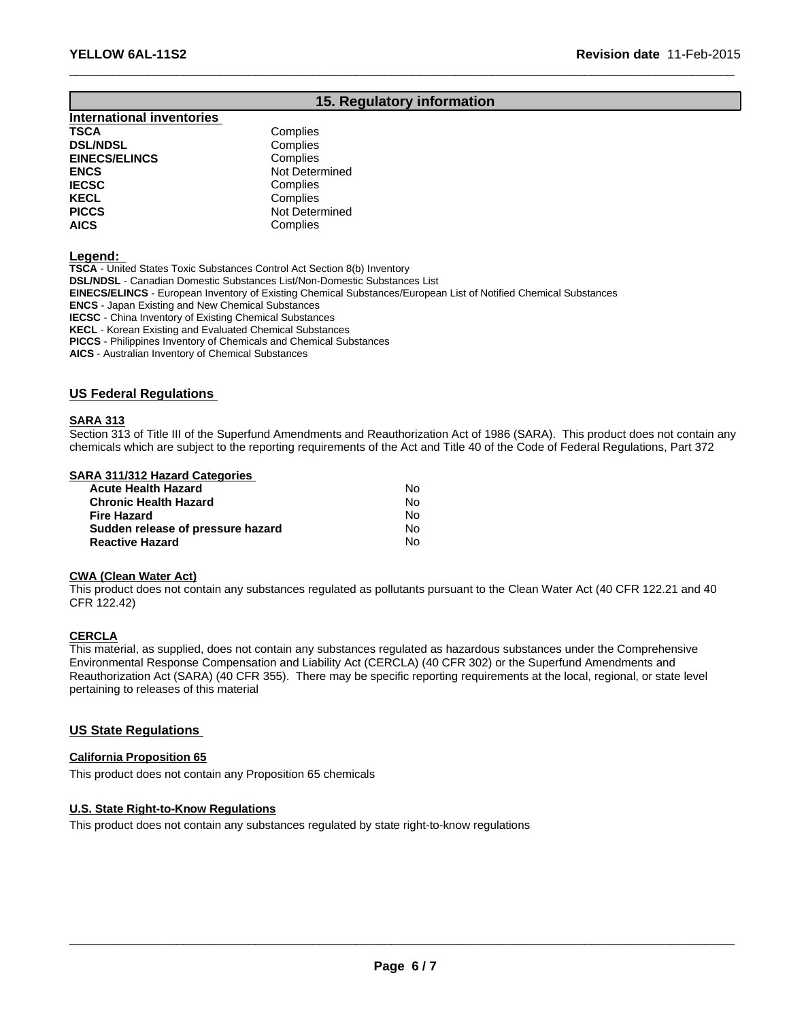# **15. Regulatory information**

 $\_$  , and the set of the set of the set of the set of the set of the set of the set of the set of the set of the set of the set of the set of the set of the set of the set of the set of the set of the set of the set of th

**International inventories TSCA** Complies<br> **DSL/NDSL** Complies **DSL/NDSL**<br> **EINECS/ELINCS EINECS/ELINCS Complies EINECS/ELINCS**<br>ENCS **ENCS**<br> **IECSC** Not Determined<br>
Complies **IECSC** Complies<br> **IECSC** Complies **KECL** Complies **PICCS** Not Determined **AICS** Complies

**Legend:**

**TSCA** - United States Toxic Substances Control Act Section 8(b) Inventory **DSL/NDSL** - Canadian Domestic Substances List/Non-Domestic Substances List **EINECS/ELINCS** - European Inventory of Existing Chemical Substances/European List of Notified Chemical Substances

**ENCS** - Japan Existing and New Chemical Substances

**IECSC** - China Inventory of Existing Chemical Substances

**KECL** - Korean Existing and Evaluated Chemical Substances

**PICCS** - Philippines Inventory of Chemicals and Chemical Substances

**AICS** - Australian Inventory of Chemical Substances

## **US Federal Regulations**

### **SARA 313**

Section 313 of Title III of the Superfund Amendments and Reauthorization Act of 1986 (SARA). This product does not contain any chemicals which are subject to the reporting requirements of the Act and Title 40 of the Code of Federal Regulations, Part 372

### **SARA 311/312 Hazard Categories**

| <b>Acute Health Hazard</b>        | N٥ |
|-----------------------------------|----|
| <b>Chronic Health Hazard</b>      | No |
| <b>Fire Hazard</b>                | No |
| Sudden release of pressure hazard | No |
| <b>Reactive Hazard</b>            | N٥ |

#### **CWA (Clean Water Act)**

This product does not contain any substances regulated as pollutants pursuant to the Clean Water Act (40 CFR 122.21 and 40 CFR 122.42)

## **CERCLA**

This material, as supplied, does not contain any substances regulated as hazardous substances under the Comprehensive Environmental Response Compensation and Liability Act (CERCLA) (40 CFR 302) or the Superfund Amendments and Reauthorization Act (SARA) (40 CFR 355). There may be specific reporting requirements at the local, regional, or state level pertaining to releases of this material

# **US State Regulations**

## **California Proposition 65**

This product does not contain any Proposition 65 chemicals

## **U.S. State Right-to-Know Regulations**

This product does not contain any substances regulated by state right-to-know regulations

 $\_$  ,  $\_$  ,  $\_$  ,  $\_$  ,  $\_$  ,  $\_$  ,  $\_$  ,  $\_$  ,  $\_$  ,  $\_$  ,  $\_$  ,  $\_$  ,  $\_$  ,  $\_$  ,  $\_$  ,  $\_$  ,  $\_$  ,  $\_$  ,  $\_$  ,  $\_$  ,  $\_$  ,  $\_$  ,  $\_$  ,  $\_$  ,  $\_$  ,  $\_$  ,  $\_$  ,  $\_$  ,  $\_$  ,  $\_$  ,  $\_$  ,  $\_$  ,  $\_$  ,  $\_$  ,  $\_$  ,  $\_$  ,  $\_$  ,